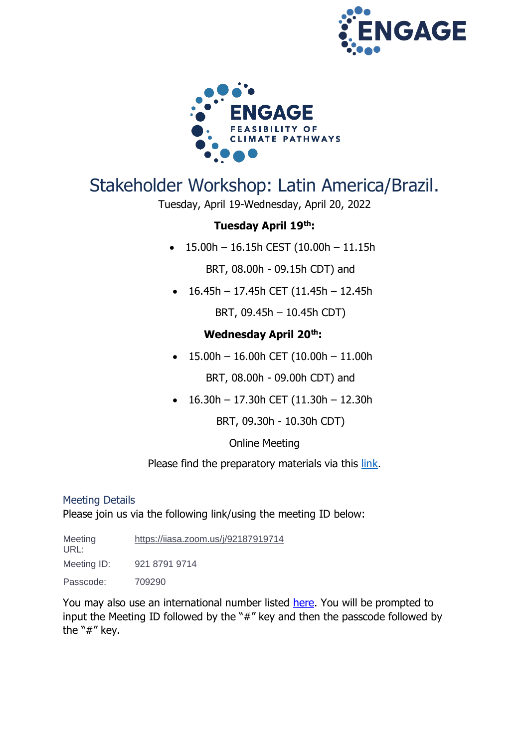



# Stakeholder Workshop: Latin America/Brazil.

Tuesday, April 19-Wednesday, April 20, 2022

# **Tuesday April 19th:**

 $\bullet$  15.00h - 16.15h CEST (10.00h - 11.15h

BRT, 08.00h - 09.15h CDT) and

• 16.45h – 17.45h CET (11.45h – 12.45h

BRT, 09.45h – 10.45h CDT)

# **Wednesday April 20th:**

 $\bullet$  15.00h – 16.00h CET (10.00h – 11.00h

BRT, 08.00h - 09.00h CDT) and

• 16.30h – 17.30h CET (11.30h – 12.30h

BRT, 09.30h - 10.30h CDT)

### Online Meeting

Please find the preparatory materials via this [link.](http://www.engage-climate.org/stakeholder-workshop-latin-america-brazil-april-19-20-2022/)

#### Meeting Details

Please join us via the following link/using the meeting ID below:

Meeting URL: <https://iiasa.zoom.us/j/92187919714> Meeting ID: 921 8791 9714 Passcode: 709290

You may also use an international number listed [here.](https://iiasa.zoom.us/zoomconference?m=OTI0MzQzNjU4NTM.7oMBw0uGkMiBtOJ4QXGpllS1lnsc4x19&_x_zm_rtaid=c0R7mP7QRf-h3P3PBRhOmQ.1631103754581.fcc3c34fdefd08c7b67cd019c38fccb1&_x_zm_rhtaid=395) You will be prompted to input the Meeting ID followed by the "#" key and then the passcode followed by the "#" key.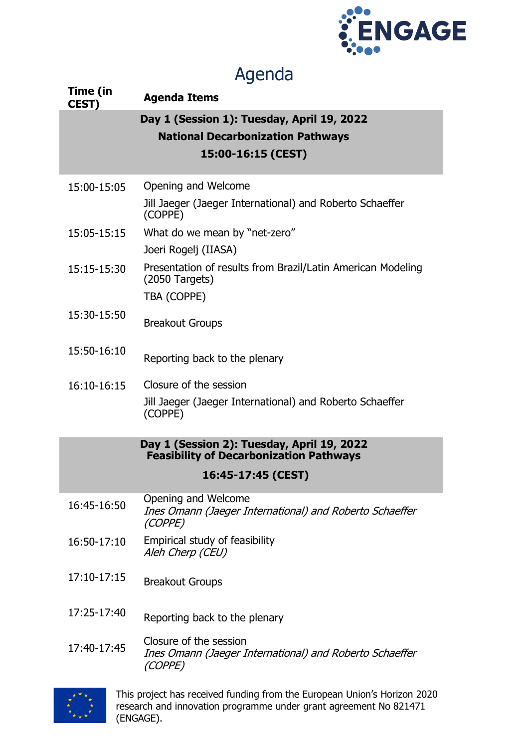

# Agenda

| Time (in           | 7 iyu iyu                                                                                                    |  |
|--------------------|--------------------------------------------------------------------------------------------------------------|--|
| <b>CEST)</b>       | <b>Agenda Items</b>                                                                                          |  |
|                    | Day 1 (Session 1): Tuesday, April 19, 2022<br><b>National Decarbonization Pathways</b><br>15:00-16:15 (CEST) |  |
| 15:00-15:05        | Opening and Welcome<br>Jill Jaeger (Jaeger International) and Roberto Schaeffer<br>(COPPE)                   |  |
| 15:05-15:15        | What do we mean by "net-zero"<br>Joeri Rogelj (IIASA)                                                        |  |
| 15:15-15:30        | Presentation of results from Brazil/Latin American Modeling<br>$(2050$ Targets)<br>TBA (COPPE)               |  |
| 15:30-15:50        | <b>Breakout Groups</b>                                                                                       |  |
| 15:50-16:10        | Reporting back to the plenary                                                                                |  |
| 16:10-16:15        | Closure of the session<br>Jill Jaeger (Jaeger International) and Roberto Schaeffer<br>(COPPE)                |  |
|                    | Day 1 (Session 2): Tuesday, April 19, 2022<br><b>Feasibility of Decarbonization Pathways</b>                 |  |
| 16:45-17:45 (CEST) |                                                                                                              |  |
| 16:45-16:50        | Opening and Welcome<br>Ines Omann (Jaeger International) and Roberto Schaeffer<br>(COPPE)                    |  |
| 16:50-17:10        | Empirical study of feasibility<br>Aleh Cherp (CEU)                                                           |  |
| 17:10-17:15        | <b>Breakout Groups</b>                                                                                       |  |
| 17:25-17:40        | Reporting back to the plenary                                                                                |  |
| 17:40-17:45        | Closure of the session<br>Ines Omann (Jaeger International) and Roberto Schaeffer<br>(COPPE)                 |  |



This project has received funding from the European Union's Horizon 2020 research and innovation programme under grant agreement No 821471 (ENGAGE).